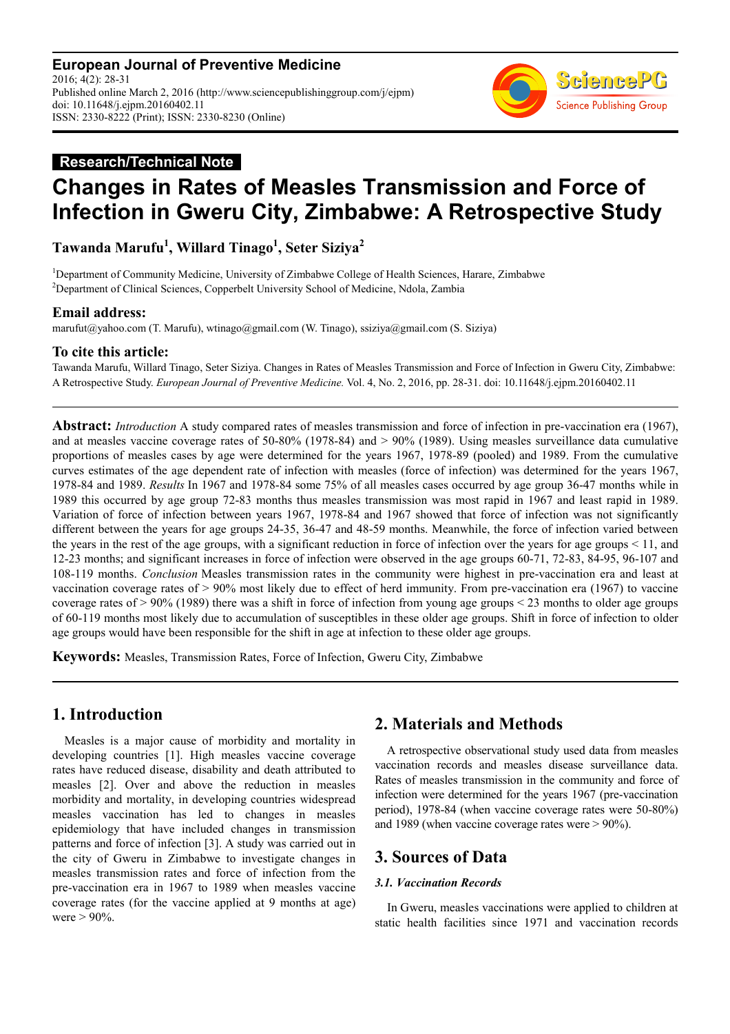**European Journal of Preventive Medicine** 2016; 4(2): 28-31 Published online March 2, 2016 (http://www.sciencepublishinggroup.com/j/ejpm) doi: 10.11648/j.ejpm.20160402.11 ISSN: 2330-8222 (Print); ISSN: 2330-8230 (Online)



## **Research/Technical Note**

# **Changes in Rates of Measles Transmission and Force of Infection in Gweru City, Zimbabwe: A Retrospective Study**

**Tawanda Marufu<sup>1</sup> , Willard Tinago<sup>1</sup> , Seter Siziya<sup>2</sup>**

<sup>1</sup>Department of Community Medicine, University of Zimbabwe College of Health Sciences, Harare, Zimbabwe <sup>2</sup>Department of Clinical Sciences, Copperbelt University School of Medicine, Ndola, Zambia

#### **Email address:**

marufut@yahoo.com (T. Marufu), wtinago@gmail.com (W. Tinago), ssiziya@gmail.com (S. Siziya)

#### **To cite this article:**

Tawanda Marufu, Willard Tinago, Seter Siziya. Changes in Rates of Measles Transmission and Force of Infection in Gweru City, Zimbabwe: A Retrospective Study. *European Journal of Preventive Medicine.* Vol. 4, No. 2, 2016, pp. 28-31. doi: 10.11648/j.ejpm.20160402.11

**Abstract:** *Introduction* A study compared rates of measles transmission and force of infection in pre-vaccination era (1967), and at measles vaccine coverage rates of 50-80% (1978-84) and > 90% (1989). Using measles surveillance data cumulative proportions of measles cases by age were determined for the years 1967, 1978-89 (pooled) and 1989. From the cumulative curves estimates of the age dependent rate of infection with measles (force of infection) was determined for the years 1967, 1978-84 and 1989. *Results* In 1967 and 1978-84 some 75% of all measles cases occurred by age group 36-47 months while in 1989 this occurred by age group 72-83 months thus measles transmission was most rapid in 1967 and least rapid in 1989. Variation of force of infection between years 1967, 1978-84 and 1967 showed that force of infection was not significantly different between the years for age groups 24-35, 36-47 and 48-59 months. Meanwhile, the force of infection varied between the years in the rest of the age groups, with a significant reduction in force of infection over the years for age groups < 11, and 12-23 months; and significant increases in force of infection were observed in the age groups 60-71, 72-83, 84-95, 96-107 and 108-119 months. *Conclusion* Measles transmission rates in the community were highest in pre-vaccination era and least at vaccination coverage rates of > 90% most likely due to effect of herd immunity. From pre-vaccination era (1967) to vaccine coverage rates of  $> 90\%$  (1989) there was a shift in force of infection from young age groups  $< 23$  months to older age groups of 60-119 months most likely due to accumulation of susceptibles in these older age groups. Shift in force of infection to older age groups would have been responsible for the shift in age at infection to these older age groups.

**Keywords:** Measles, Transmission Rates, Force of Infection, Gweru City, Zimbabwe

## **1. Introduction**

Measles is a major cause of morbidity and mortality in developing countries [1]. High measles vaccine coverage rates have reduced disease, disability and death attributed to measles [2]. Over and above the reduction in measles morbidity and mortality, in developing countries widespread measles vaccination has led to changes in measles epidemiology that have included changes in transmission patterns and force of infection [3]. A study was carried out in the city of Gweru in Zimbabwe to investigate changes in measles transmission rates and force of infection from the pre-vaccination era in 1967 to 1989 when measles vaccine coverage rates (for the vaccine applied at 9 months at age) were  $> 90\%$ .

## **2. Materials and Methods**

A retrospective observational study used data from measles vaccination records and measles disease surveillance data. Rates of measles transmission in the community and force of infection were determined for the years 1967 (pre-vaccination period), 1978-84 (when vaccine coverage rates were 50-80%) and 1989 (when vaccine coverage rates were > 90%).

## **3. Sources of Data**

#### *3.1. Vaccination Records*

In Gweru, measles vaccinations were applied to children at static health facilities since 1971 and vaccination records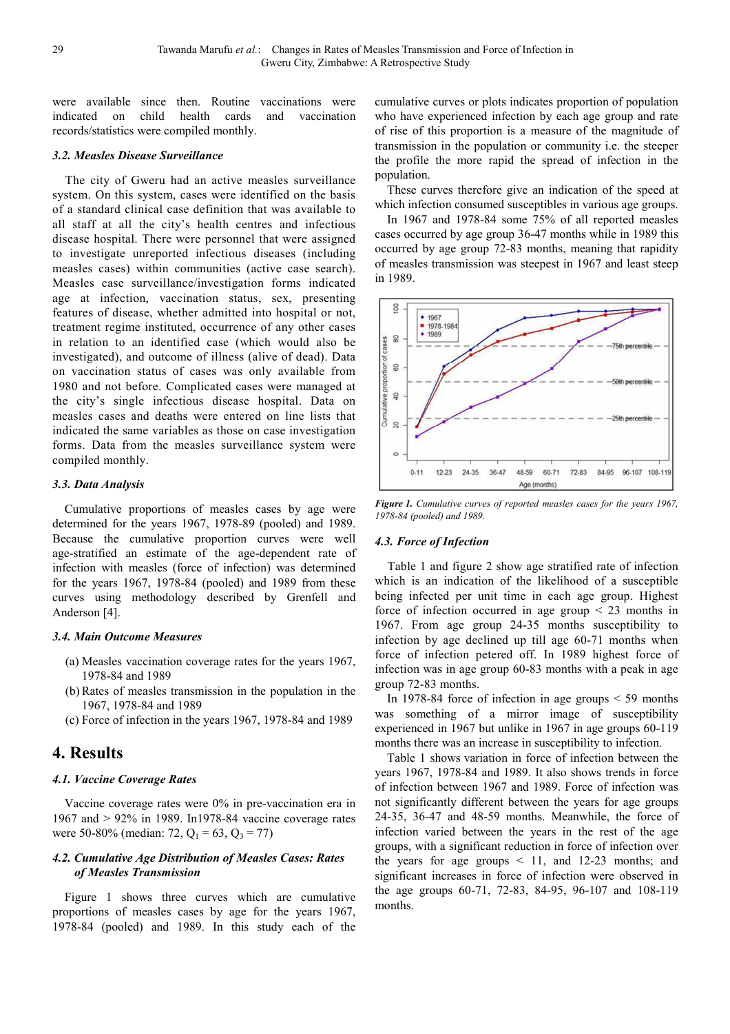were available since then. Routine vaccinations were indicated on child health cards and vaccination records/statistics were compiled monthly.

#### *3.2. Measles Disease Surveillance*

The city of Gweru had an active measles surveillance system. On this system, cases were identified on the basis of a standard clinical case definition that was available to all staff at all the city's health centres and infectious disease hospital. There were personnel that were assigned to investigate unreported infectious diseases (including measles cases) within communities (active case search). Measles case surveillance/investigation forms indicated age at infection, vaccination status, sex, presenting features of disease, whether admitted into hospital or not, treatment regime instituted, occurrence of any other cases in relation to an identified case (which would also be investigated), and outcome of illness (alive of dead). Data on vaccination status of cases was only available from 1980 and not before. Complicated cases were managed at the city's single infectious disease hospital. Data on measles cases and deaths were entered on line lists that indicated the same variables as those on case investigation forms. Data from the measles surveillance system were compiled monthly.

#### *3.3. Data Analysis*

Cumulative proportions of measles cases by age were determined for the years 1967, 1978-89 (pooled) and 1989. Because the cumulative proportion curves were well age-stratified an estimate of the age-dependent rate of infection with measles (force of infection) was determined for the years 1967, 1978-84 (pooled) and 1989 from these curves using methodology described by Grenfell and Anderson [4].

## *3.4. Main Outcome Measures*

- (a) Measles vaccination coverage rates for the years 1967, 1978-84 and 1989
- (b) Rates of measles transmission in the population in the 1967, 1978-84 and 1989
- (c) Force of infection in the years 1967, 1978-84 and 1989

# **4. Results**

## *4.1. Vaccine Coverage Rates*

Vaccine coverage rates were 0% in pre-vaccination era in 1967 and > 92% in 1989. In1978-84 vaccine coverage rates were 50-80% (median: 72,  $Q_1 = 63$ ,  $Q_3 = 77$ )

#### *4.2. Cumulative Age Distribution of Measles Cases: Rates of Measles Transmission*

Figure 1 shows three curves which are cumulative proportions of measles cases by age for the years 1967, 1978-84 (pooled) and 1989. In this study each of the cumulative curves or plots indicates proportion of population who have experienced infection by each age group and rate of rise of this proportion is a measure of the magnitude of transmission in the population or community i.e. the steeper the profile the more rapid the spread of infection in the population.

These curves therefore give an indication of the speed at which infection consumed susceptibles in various age groups.

In 1967 and 1978-84 some 75% of all reported measles cases occurred by age group 36-47 months while in 1989 this occurred by age group 72-83 months, meaning that rapidity of measles transmission was steepest in 1967 and least steep in 1989.



*Figure 1. Cumulative curves of reported measles cases for the years 1967, 1978-84 (pooled) and 1989.* 

#### *4.3. Force of Infection*

Table 1 and figure 2 show age stratified rate of infection which is an indication of the likelihood of a susceptible being infected per unit time in each age group. Highest force of infection occurred in age group  $\leq$  23 months in 1967. From age group 24-35 months susceptibility to infection by age declined up till age 60-71 months when force of infection petered off. In 1989 highest force of infection was in age group 60-83 months with a peak in age group 72-83 months.

In 1978-84 force of infection in age groups  $\leq$  59 months was something of a mirror image of susceptibility experienced in 1967 but unlike in 1967 in age groups 60-119 months there was an increase in susceptibility to infection.

Table 1 shows variation in force of infection between the years 1967, 1978-84 and 1989. It also shows trends in force of infection between 1967 and 1989. Force of infection was not significantly different between the years for age groups 24-35, 36-47 and 48-59 months. Meanwhile, the force of infection varied between the years in the rest of the age groups, with a significant reduction in force of infection over the years for age groups  $\leq$  11, and 12-23 months; and significant increases in force of infection were observed in the age groups 60-71, 72-83, 84-95, 96-107 and 108-119 months.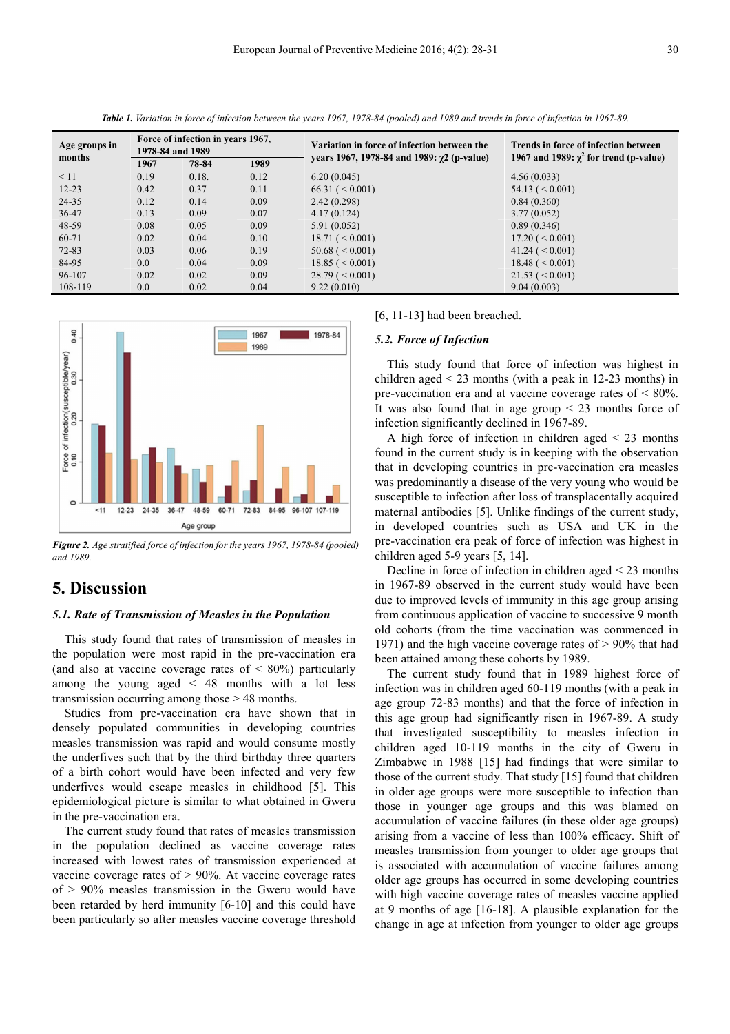| Age groups in<br>months | Force of infection in years 1967,<br>1978-84 and 1989 |       |      | Variation in force of infection between the        | Trends in force of infection between<br>1967 and 1989: $\gamma^2$ for trend (p-value) |
|-------------------------|-------------------------------------------------------|-------|------|----------------------------------------------------|---------------------------------------------------------------------------------------|
|                         | 1967                                                  | 78-84 | 1989 | vears 1967, 1978-84 and 1989: $\gamma$ 2 (p-value) |                                                                                       |
| < 11                    | 0.19                                                  | 0.18. | 0.12 | 6.20(0.045)                                        | 4.56(0.033)                                                                           |
| $12 - 23$               | 0.42                                                  | 0.37  | 0.11 | 66.31 (< 0.001)                                    | $54.13 \ (< 0.001$                                                                    |
| 24-35                   | 0.12                                                  | 0.14  | 0.09 | 2.42(0.298)                                        | 0.84(0.360)                                                                           |
| 36-47                   | 0.13                                                  | 0.09  | 0.07 | 4.17(0.124)                                        | 3.77(0.052)                                                                           |
| 48-59                   | 0.08                                                  | 0.05  | 0.09 | 5.91(0.052)                                        | 0.89(0.346)                                                                           |
| 60-71                   | 0.02                                                  | 0.04  | 0.10 | $18.71 \ (< 0.001$ )                               | $17.20 \leq 0.001$                                                                    |
| $72 - 83$               | 0.03                                                  | 0.06  | 0.19 | 50.68 (< 0.001)                                    | $41.24 \left( \leq 0.001 \right)$                                                     |
| 84-95                   | 0.0                                                   | 0.04  | 0.09 | 18.85 (< 0.001)                                    | 18.48 (< 0.001)                                                                       |
| 96-107                  | 0.02                                                  | 0.02  | 0.09 | $28.79 \leq 0.001$                                 | $21.53 \leq 0.001$                                                                    |
| 108-119                 | 0.0                                                   | 0.02  | 0.04 | 9.22(0.010)                                        | 9.04(0.003)                                                                           |

*Table 1. Variation in force of infection between the years 1967, 1978-84 (pooled) and 1989 and trends in force of infection in 1967-89.* 



*Figure 2. Age stratified force of infection for the years 1967, 1978-84 (pooled) and 1989.* 

## **5. Discussion**

#### *5.1. Rate of Transmission of Measles in the Population*

This study found that rates of transmission of measles in the population were most rapid in the pre-vaccination era (and also at vaccine coverage rates of  $\leq 80\%$ ) particularly among the young aged < 48 months with a lot less transmission occurring among those > 48 months.

Studies from pre-vaccination era have shown that in densely populated communities in developing countries measles transmission was rapid and would consume mostly the underfives such that by the third birthday three quarters of a birth cohort would have been infected and very few underfives would escape measles in childhood [5]. This epidemiological picture is similar to what obtained in Gweru in the pre-vaccination era.

The current study found that rates of measles transmission in the population declined as vaccine coverage rates increased with lowest rates of transmission experienced at vaccine coverage rates of > 90%. At vaccine coverage rates of > 90% measles transmission in the Gweru would have been retarded by herd immunity [6-10] and this could have been particularly so after measles vaccine coverage threshold

#### [6, 11-13] had been breached.

#### *5.2. Force of Infection*

This study found that force of infection was highest in children aged  $\leq$  23 months (with a peak in 12-23 months) in pre-vaccination era and at vaccine coverage rates of < 80%. It was also found that in age group  $\leq$  23 months force of infection significantly declined in 1967-89.

A high force of infection in children aged  $\leq$  23 months found in the current study is in keeping with the observation that in developing countries in pre-vaccination era measles was predominantly a disease of the very young who would be susceptible to infection after loss of transplacentally acquired maternal antibodies [5]. Unlike findings of the current study, in developed countries such as USA and UK in the pre-vaccination era peak of force of infection was highest in children aged 5-9 years [5, 14].

Decline in force of infection in children aged < 23 months in 1967-89 observed in the current study would have been due to improved levels of immunity in this age group arising from continuous application of vaccine to successive 9 month old cohorts (from the time vaccination was commenced in 1971) and the high vaccine coverage rates of > 90% that had been attained among these cohorts by 1989.

The current study found that in 1989 highest force of infection was in children aged 60-119 months (with a peak in age group 72-83 months) and that the force of infection in this age group had significantly risen in 1967-89. A study that investigated susceptibility to measles infection in children aged 10-119 months in the city of Gweru in Zimbabwe in 1988 [15] had findings that were similar to those of the current study. That study [15] found that children in older age groups were more susceptible to infection than those in younger age groups and this was blamed on accumulation of vaccine failures (in these older age groups) arising from a vaccine of less than 100% efficacy. Shift of measles transmission from younger to older age groups that is associated with accumulation of vaccine failures among older age groups has occurred in some developing countries with high vaccine coverage rates of measles vaccine applied at 9 months of age [16-18]. A plausible explanation for the change in age at infection from younger to older age groups